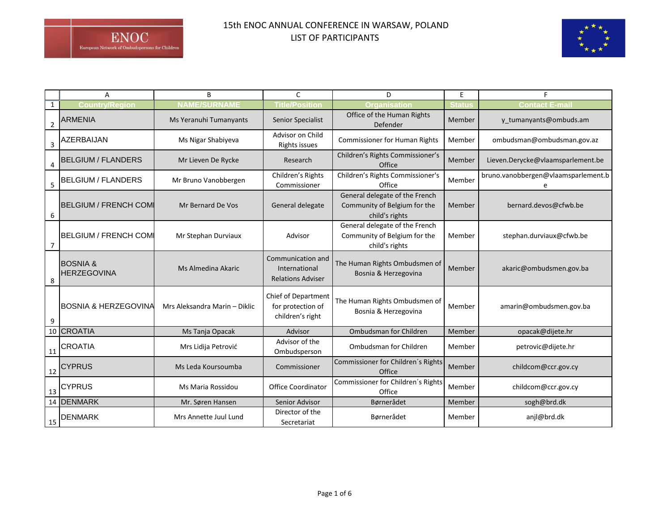## 15th ENOC ANNUAL CONFERENCE IN WARSAW, POLAND LIST OF PARTICIPANTS



|                | Α                                         | B                             | $\mathsf{C}$                                                        | D                                                                                | E      |                                     |
|----------------|-------------------------------------------|-------------------------------|---------------------------------------------------------------------|----------------------------------------------------------------------------------|--------|-------------------------------------|
| 1              | Countrv/Reaion                            |                               | ïtle/Positioı                                                       | Organi                                                                           |        | Contact E-ma                        |
| $\overline{2}$ | <b>ARMENIA</b>                            | Ms Yeranuhi Tumanyants        | Senior Specialist                                                   | Office of the Human Rights<br>Defender                                           | Member | y_tumanyants@ombuds.am              |
| 3              | AZERBAIJAN                                | Ms Nigar Shabiyeva            | Advisor on Child<br>Rights issues                                   | <b>Commissioner for Human Rights</b>                                             | Member | ombudsman@ombudsman.gov.az          |
| 4              | <b>BELGIUM / FLANDERS</b>                 | Mr Lieven De Rycke            | Research                                                            | Children's Rights Commissioner's<br>Office                                       | Member | Lieven.Derycke@vlaamsparlement.be   |
| 5              | <b>BELGIUM / FLANDERS</b>                 | Mr Bruno Vanobbergen          | Children's Rights<br>Commissioner                                   | Children's Rights Commissioner's<br>Office                                       | Member | bruno.vanobbergen@vlaamsparlement.b |
| 6              | <b>BELGIUM / FRENCH COM</b>               | Mr Bernard De Vos             | General delegate                                                    | General delegate of the French<br>Community of Belgium for the<br>child's rights | Member | bernard.devos@cfwb.be               |
| 7              | <b>BELGIUM / FRENCH COMI</b>              | Mr Stephan Durviaux           | Advisor                                                             | General delegate of the French<br>Community of Belgium for the<br>child's rights | Member | stephan.durviaux@cfwb.be            |
| 8              | <b>BOSNIA &amp;</b><br><b>HERZEGOVINA</b> | Ms Almedina Akaric            | Communication and<br>International<br><b>Relations Adviser</b>      | The Human Rights Ombudsmen of<br>Bosnia & Herzegovina                            | Member | akaric@ombudsmen.gov.ba             |
| 9              | <b>BOSNIA &amp; HERZEGOVINA</b>           | Mrs Aleksandra Marin - Diklic | <b>Chief of Department</b><br>for protection of<br>children's right | The Human Rights Ombudsmen of<br>Bosnia & Herzegovina                            | Member | amarin@ombudsmen.gov.ba             |
|                | 10 CROATIA                                | Ms Tanja Opacak               | Advisor                                                             | Ombudsman for Children                                                           | Member | opacak@dijete.hr                    |
| 11             | <b>CROATIA</b>                            | Mrs Lidija Petrović           | Advisor of the<br>Ombudsperson                                      | Ombudsman for Children                                                           | Member | petrovic@dijete.hr                  |
| 12             | <b>CYPRUS</b>                             | Ms Leda Koursoumba            | Commissioner                                                        | Commissioner for Children's Rights<br>Office                                     | Member | childcom@ccr.gov.cy                 |
| 13             | <b>CYPRUS</b>                             | Ms Maria Rossidou             | <b>Office Coordinator</b>                                           | Commissioner for Children's Rights<br>Office                                     | Member | childcom@ccr.gov.cy                 |
|                | 14 DENMARK                                | Mr. Søren Hansen              | Senior Advisor                                                      | Børnerådet                                                                       | Member | sogh@brd.dk                         |
| 15             | DENMARK                                   | Mrs Annette Juul Lund         | Director of the<br>Secretariat                                      | Børnerådet                                                                       | Member | anjl@brd.dk                         |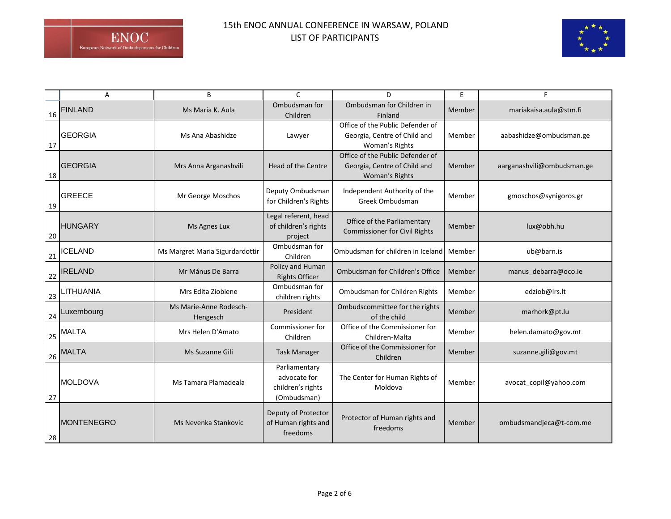

|    | A                 | B                                  | C                                                                 | D                                                                                  | E      |                            |
|----|-------------------|------------------------------------|-------------------------------------------------------------------|------------------------------------------------------------------------------------|--------|----------------------------|
| 16 | <b>FINLAND</b>    | Ms Maria K. Aula                   | Ombudsman for<br>Children                                         | Ombudsman for Children in<br>Finland                                               | Member | mariakaisa.aula@stm.fi     |
| 17 | <b>GEORGIA</b>    | Ms Ana Abashidze                   | Lawyer                                                            | Office of the Public Defender of<br>Georgia, Centre of Child and<br>Woman's Rights | Member | aabashidze@ombudsman.ge    |
| 18 | <b>GEORGIA</b>    | Mrs Anna Arganashvili              | Head of the Centre                                                | Office of the Public Defender of<br>Georgia, Centre of Child and<br>Woman's Rights | Member | aarganashvili@ombudsman.ge |
| 19 | <b>GREECE</b>     | Mr George Moschos                  | Deputy Ombudsman<br>for Children's Rights                         | Independent Authority of the<br>Greek Ombudsman                                    | Member | gmoschos@synigoros.gr      |
| 20 | <b>HUNGARY</b>    | Ms Agnes Lux                       | Legal referent, head<br>of children's rights<br>project           | Office of the Parliamentary<br><b>Commissioner for Civil Rights</b>                | Member | lux@obh.hu                 |
| 21 | ICELAND           | Ms Margret Maria Sigurdardottir    | Ombudsman for<br>Children                                         | Ombudsman for children in Iceland                                                  | Member | ub@barn.is                 |
| 22 | <b>IRELAND</b>    | Mr Mánus De Barra                  | Policy and Human<br><b>Rights Officer</b>                         | Ombudsman for Children's Office                                                    | Member | manus_debarra@oco.ie       |
| 23 | LITHUANIA         | Mrs Edita Ziobiene                 | Ombudsman for<br>children rights                                  | Ombudsman for Children Rights                                                      | Member | edziob@lrs.lt              |
| 24 | Luxembourg        | Ms Marie-Anne Rodesch-<br>Hengesch | President                                                         | Ombudscommittee for the rights<br>of the child                                     | Member | marhork@pt.lu              |
| 25 | <b>MALTA</b>      | Mrs Helen D'Amato                  | Commissioner for<br>Children                                      | Office of the Commissioner for<br>Children-Malta                                   | Member | helen.damato@gov.mt        |
| 26 | <b>MALTA</b>      | Ms Suzanne Gili                    | <b>Task Manager</b>                                               | Office of the Commissioner for<br>Children                                         | Member | suzanne.gili@gov.mt        |
| 27 | <b>MOLDOVA</b>    | Ms Tamara Plamadeala               | Parliamentary<br>advocate for<br>children's rights<br>(Ombudsman) | The Center for Human Rights of<br>Moldova                                          | Member | avocat_copil@yahoo.com     |
| 28 | <b>MONTENEGRO</b> | Ms Nevenka Stankovic               | Deputy of Protector<br>of Human rights and<br>freedoms            | Protector of Human rights and<br>freedoms                                          | Member | ombudsmandjeca@t-com.me    |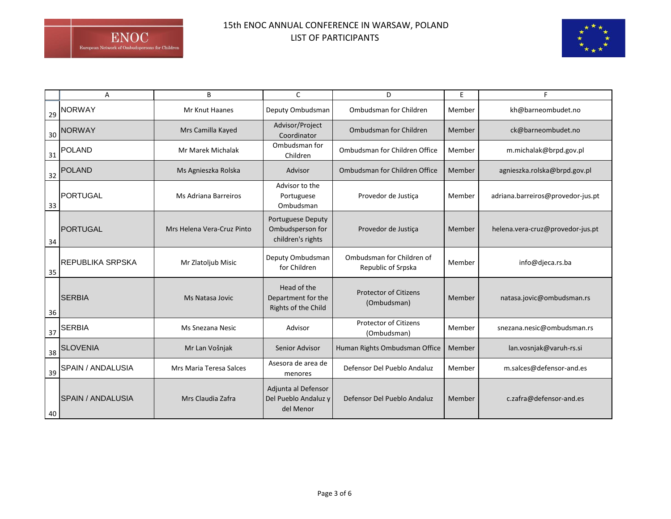## 15th ENOC ANNUAL CONFERENCE IN WARSAW, POLAND LIST OF PARTICIPANTS



|    | Α                        | B                          | C                                                                 | D                                               | E      | F                                 |
|----|--------------------------|----------------------------|-------------------------------------------------------------------|-------------------------------------------------|--------|-----------------------------------|
| 29 | <b>NORWAY</b>            | <b>Mr Knut Haanes</b>      | Deputy Ombudsman                                                  | Ombudsman for Children                          | Member | kh@barneombudet.no                |
| 30 | <b>NORWAY</b>            | Mrs Camilla Kayed          | Advisor/Project<br>Coordinator                                    | Ombudsman for Children                          | Member | ck@barneombudet.no                |
| 31 | <b>POLAND</b>            | Mr Marek Michalak          | Ombudsman for<br>Children                                         | Ombudsman for Children Office                   | Member | m.michalak@brpd.gov.pl            |
| 32 | <b>POLAND</b>            | Ms Agnieszka Rolska        | Advisor                                                           | Ombudsman for Children Office                   | Member | agnieszka.rolska@brpd.gov.pl      |
| 33 | <b>PORTUGAL</b>          | Ms Adriana Barreiros       | Advisor to the<br>Portuguese<br>Ombudsman                         | Provedor de Justiça                             | Member | adriana.barreiros@provedor-jus.pt |
| 34 | <b>PORTUGAL</b>          | Mrs Helena Vera-Cruz Pinto | <b>Portuguese Deputy</b><br>Ombudsperson for<br>children's rights | Provedor de Justiça                             | Member | helena.vera-cruz@provedor-jus.pt  |
| 35 | <b>REPUBLIKA SRPSKA</b>  | Mr Zlatoljub Misic         | Deputy Ombudsman<br>for Children                                  | Ombudsman for Children of<br>Republic of Srpska | Member | info@djeca.rs.ba                  |
| 36 | <b>SERBIA</b>            | Ms Natasa Jovic            | Head of the<br>Department for the<br>Rights of the Child          | <b>Protector of Citizens</b><br>(Ombudsman)     | Member | natasa.jovic@ombudsman.rs         |
| 37 | <b>SERBIA</b>            | <b>Ms Snezana Nesic</b>    | Advisor                                                           | <b>Protector of Citizens</b><br>(Ombudsman)     | Member | snezana.nesic@ombudsman.rs        |
| 38 | <b>SLOVENIA</b>          | Mr Lan Vošnjak             | Senior Advisor                                                    | Human Rights Ombudsman Office                   | Member | lan.vosnjak@varuh-rs.si           |
| 39 | SPAIN / ANDALUSIA        | Mrs Maria Teresa Salces    | Asesora de area de<br>menores                                     | Defensor Del Pueblo Andaluz                     | Member | m.salces@defensor-and.es          |
| 40 | <b>SPAIN / ANDALUSIA</b> | Mrs Claudia Zafra          | Adjunta al Defensor<br>Del Pueblo Andaluz y<br>del Menor          | Defensor Del Pueblo Andaluz                     | Member | c.zafra@defensor-and.es           |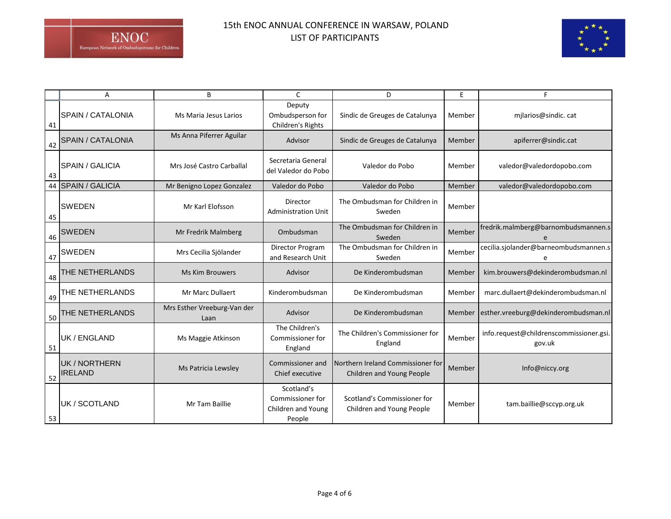

|    | А                               | B                                   | C                                                              | D                                                              | E             | F                                                 |
|----|---------------------------------|-------------------------------------|----------------------------------------------------------------|----------------------------------------------------------------|---------------|---------------------------------------------------|
| 41 | <b>SPAIN / CATALONIA</b>        | Ms Maria Jesus Larios               | Deputy<br>Ombudsperson for<br>Children's Rights                | Sindic de Greuges de Catalunya                                 | Member        | milarios@sindic.cat                               |
| 42 | <b>SPAIN / CATALONIA</b>        | Ms Anna Piferrer Aguilar            | Advisor                                                        | Sindic de Greuges de Catalunya                                 | Member        | apiferrer@sindic.cat                              |
| 43 | <b>SPAIN / GALICIA</b>          | Mrs José Castro Carballal           | Secretaria General<br>del Valedor do Pobo                      | Valedor do Pobo                                                | Member        | valedor@valedordopobo.com                         |
|    | 44 SPAIN / GALICIA              | Mr Benigno Lopez Gonzalez           | Valedor do Pobo                                                | Valedor do Pobo                                                | Member        | valedor@valedordopobo.com                         |
| 45 | <b>SWEDEN</b>                   | Mr Karl Elofsson                    | Director<br><b>Administration Unit</b>                         | The Ombudsman for Children in<br>Sweden                        | Member        |                                                   |
| 46 | <b>SWEDEN</b>                   | Mr Fredrik Malmberg                 | Ombudsman                                                      | The Ombudsman for Children in<br>Sweden                        | Member        | fredrik.malmberg@barnombudsmannen.s               |
| 47 | <b>SWEDEN</b>                   | Mrs Cecilia Sjölander               | Director Program<br>and Research Unit                          | The Ombudsman for Children in<br>Sweden                        | Member        | cecilia.sjolander@barneombudsmannen.s             |
| 48 | THE NETHERLANDS                 | <b>Ms Kim Brouwers</b>              | Advisor                                                        | De Kinderombudsman                                             | Member        | kim.brouwers@dekinderombudsman.nl                 |
| 49 | THE NETHERLANDS                 | Mr Marc Dullaert                    | Kinderombudsman                                                | De Kinderombudsman                                             | Member        | marc.dullaert@dekinderombudsman.nl                |
| 50 | THE NETHERLANDS                 | Mrs Esther Vreeburg-Van der<br>Laan | Advisor                                                        | De Kinderombudsman                                             | <b>Member</b> | esther.vreeburg@dekinderombudsman.nl              |
| 51 | UK / ENGLAND                    | Ms Maggie Atkinson                  | The Children's<br>Commissioner for<br>England                  | The Children's Commissioner for<br>England                     | Member        | info.request@childrenscommissioner.gsi.<br>gov.uk |
| 52 | UK / NORTHERN<br><b>IRELAND</b> | Ms Patricia Lewsley                 | Commissioner and<br>Chief executive                            | Northern Ireland Commissioner for<br>Children and Young People | Member        | Info@niccy.org                                    |
| 53 | UK / SCOTLAND                   | Mr Tam Baillie                      | Scotland's<br>Commissioner for<br>Children and Young<br>People | Scotland's Commissioner for<br>Children and Young People       | Member        | tam.baillie@sccyp.org.uk                          |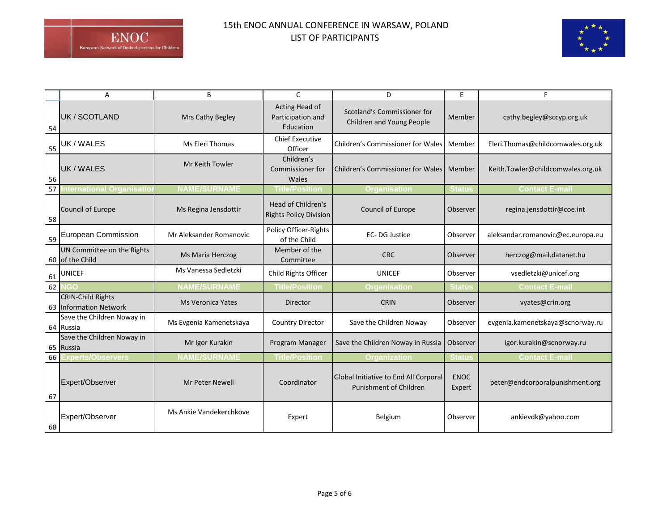

|    | Α                                                  | B                       | C                                                   | D                                                                      | E                     | F                                 |
|----|----------------------------------------------------|-------------------------|-----------------------------------------------------|------------------------------------------------------------------------|-----------------------|-----------------------------------|
| 54 | UK / SCOTLAND                                      | Mrs Cathy Begley        | Acting Head of<br>Participation and<br>Education    | Scotland's Commissioner for<br>Children and Young People               | Member                | cathy.begley@sccyp.org.uk         |
| 55 | UK / WALES                                         | Ms Eleri Thomas         | <b>Chief Executive</b><br>Officer                   | Children's Commissioner for Wales                                      | Member                | Eleri.Thomas@childcomwales.org.uk |
| 56 | UK / WALES                                         | Mr Keith Towler         | Children's<br>Commissioner for<br>Wales             | Children's Commissioner for Wales                                      | Member                | Keith.Towler@childcomwales.org.uk |
|    | 57 International Organisatio                       | <b>NAME/SURNAME</b>     | <b>Title/Position</b>                               | <b>Organisation</b>                                                    | <b>Status</b>         | <b>Contact E-mail</b>             |
| 58 | Council of Europe                                  | Ms Regina Jensdottir    | Head of Children's<br><b>Rights Policy Division</b> | Council of Europe                                                      | Observer              | regina.jensdottir@coe.int         |
| 59 | <b>European Commission</b>                         | Mr Aleksander Romanovic | Policy Officer-Rights<br>of the Child               | EC-DG Justice                                                          | Observer              | aleksandar.romanovic@ec.europa.eu |
|    | UN Committee on the Rights<br>60 of the Child      | Ms Maria Herczog        | Member of the<br>Committee                          | <b>CRC</b>                                                             | Observer              | herczog@mail.datanet.hu           |
|    | $61$ UNICEF                                        | Ms Vanessa Sedletzki    | Child Rights Officer                                | <b>UNICEF</b>                                                          | Observer              | vsedletzki@unicef.org             |
| 62 |                                                    | <b>NAME/SURNAME</b>     | <b>Title/Position</b>                               | <b>Organisation</b>                                                    | <b>Status</b>         | <b>Contact E-mai</b>              |
|    | <b>CRIN-Child Rights</b><br>63 Information Network | Ms Veronica Yates       | Director                                            | <b>CRIN</b>                                                            | Observer              | vyates@crin.org                   |
|    | Save the Children Noway in<br>64 Russia            | Ms Evgenia Kamenetskaya | <b>Country Director</b>                             | Save the Children Noway                                                | Observer              | evgenia.kamenetskaya@scnorway.ru  |
|    | Save the Children Noway in<br>65 Russia            | Mr Igor Kurakin         | Program Manager                                     | Save the Children Noway in Russia                                      | Observer              | igor.kurakin@scnorway.ru          |
| 66 | Experts/Observers                                  | <b>NAME/SURNAME</b>     | <b>Title/Position</b>                               | <b>Organization</b>                                                    | <b>Status</b>         | <b>Contact E-mail</b>             |
| 67 | Expert/Observer                                    | <b>Mr Peter Newell</b>  | Coordinator                                         | Global Initiative to End All Corporal<br><b>Punishment of Children</b> | <b>ENOC</b><br>Expert | peter@endcorporalpunishment.org   |
| 68 | Expert/Observer                                    | Ms Ankie Vandekerchkove | Expert                                              | Belgium                                                                | Observer              | ankievdk@yahoo.com                |